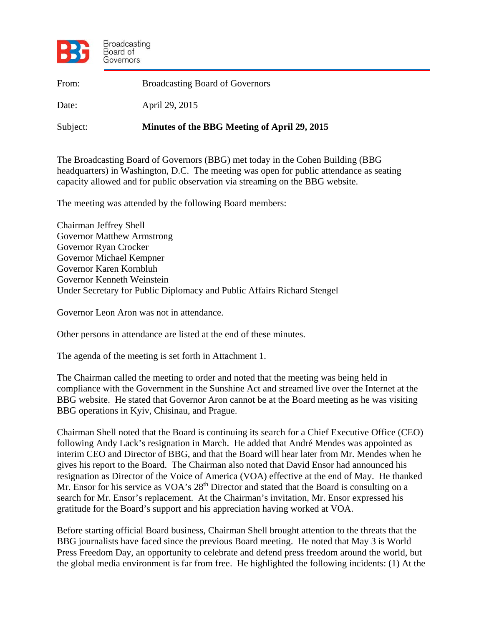

| From:    | <b>Broadcasting Board of Governors</b>       |
|----------|----------------------------------------------|
| Date:    | April 29, 2015                               |
| Subject: | Minutes of the BBG Meeting of April 29, 2015 |

The Broadcasting Board of Governors (BBG) met today in the Cohen Building (BBG headquarters) in Washington, D.C. The meeting was open for public attendance as seating capacity allowed and for public observation via streaming on the BBG website.

The meeting was attended by the following Board members:

Chairman Jeffrey Shell Governor Matthew Armstrong Governor Ryan Crocker Governor Michael Kempner Governor Karen Kornbluh Governor Kenneth Weinstein Under Secretary for Public Diplomacy and Public Affairs Richard Stengel

Governor Leon Aron was not in attendance.

Other persons in attendance are listed at the end of these minutes.

The agenda of the meeting is set forth in Attachment 1.

The Chairman called the meeting to order and noted that the meeting was being held in compliance with the Government in the Sunshine Act and streamed live over the Internet at the BBG website. He stated that Governor Aron cannot be at the Board meeting as he was visiting BBG operations in Kyiv, Chisinau, and Prague.

Chairman Shell noted that the Board is continuing its search for a Chief Executive Office (CEO) following Andy Lack's resignation in March. He added that André Mendes was appointed as interim CEO and Director of BBG, and that the Board will hear later from Mr. Mendes when he gives his report to the Board. The Chairman also noted that David Ensor had announced his resignation as Director of the Voice of America (VOA) effective at the end of May. He thanked Mr. Ensor for his service as VOA's 28<sup>th</sup> Director and stated that the Board is consulting on a search for Mr. Ensor's replacement. At the Chairman's invitation, Mr. Ensor expressed his gratitude for the Board's support and his appreciation having worked at VOA.

Before starting official Board business, Chairman Shell brought attention to the threats that the BBG journalists have faced since the previous Board meeting. He noted that May 3 is World Press Freedom Day, an opportunity to celebrate and defend press freedom around the world, but the global media environment is far from free. He highlighted the following incidents: (1) At the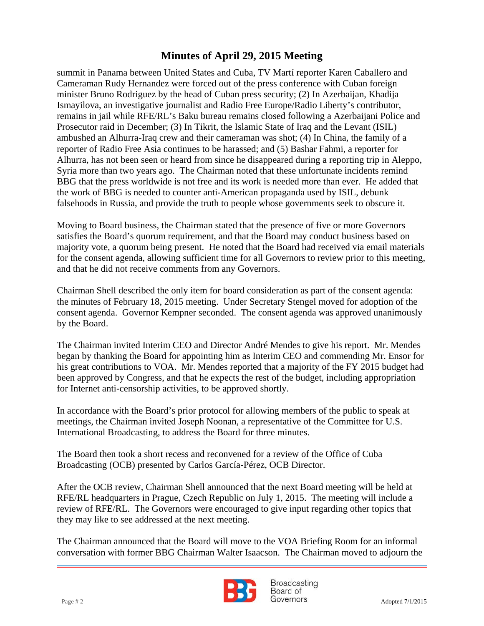remains in jail while RFE/RL's Baku bureau remains closed following a Azerbaijani Police and summit in Panama between United States and Cuba, TV Martí reporter Karen Caballero and Cameraman Rudy Hernandez were forced out of the press conference with Cuban foreign minister Bruno Rodriguez by the head of Cuban press security; (2) In Azerbaijan, Khadija Ismayilova, an investigative journalist and Radio Free Europe/Radio Liberty's contributor, Prosecutor raid in December; (3) In Tikrit, the Islamic State of Iraq and the Levant (ISIL) ambushed an Alhurra-Iraq crew and their cameraman was shot; (4) In China, the family of a reporter of Radio Free Asia continues to be harassed; and (5) Bashar Fahmi, a reporter for Alhurra, has not been seen or heard from since he disappeared during a reporting trip in Aleppo, Syria more than two years ago. The Chairman noted that these unfortunate incidents remind BBG that the press worldwide is not free and its work is needed more than ever. He added that the work of BBG is needed to counter anti-American propaganda used by ISIL, debunk falsehoods in Russia, and provide the truth to people whose governments seek to obscure it.

Moving to Board business, the Chairman stated that the presence of five or more Governors satisfies the Board's quorum requirement, and that the Board may conduct business based on majority vote, a quorum being present. He noted that the Board had received via email materials for the consent agenda, allowing sufficient time for all Governors to review prior to this meeting, and that he did not receive comments from any Governors.

Chairman Shell described the only item for board consideration as part of the consent agenda: the minutes of February 18, 2015 meeting. Under Secretary Stengel moved for adoption of the consent agenda. Governor Kempner seconded. The consent agenda was approved unanimously by the Board.

The Chairman invited Interim CEO and Director André Mendes to give his report. Mr. Mendes began by thanking the Board for appointing him as Interim CEO and commending Mr. Ensor for his great contributions to VOA. Mr. Mendes reported that a majority of the FY 2015 budget had been approved by Congress, and that he expects the rest of the budget, including appropriation for Internet anti-censorship activities, to be approved shortly.

In accordance with the Board's prior protocol for allowing members of the public to speak at meetings, the Chairman invited Joseph Noonan, a representative of the Committee for U.S. International Broadcasting, to address the Board for three minutes.

The Board then took a short recess and reconvened for a review of the Office of Cuba Broadcasting (OCB) presented by Carlos García-Pérez, OCB Director.

After the OCB review, Chairman Shell announced that the next Board meeting will be held at RFE/RL headquarters in Prague, Czech Republic on July 1, 2015. The meeting will include a review of RFE/RL. The Governors were encouraged to give input regarding other topics that they may like to see addressed at the next meeting.

The Chairman announced that the Board will move to the VOA Briefing Room for an informal conversation with former BBG Chairman Walter Isaacson. The Chairman moved to adjourn the



**Broadcasting** Board of Page # 2 Adopted 7/1/2015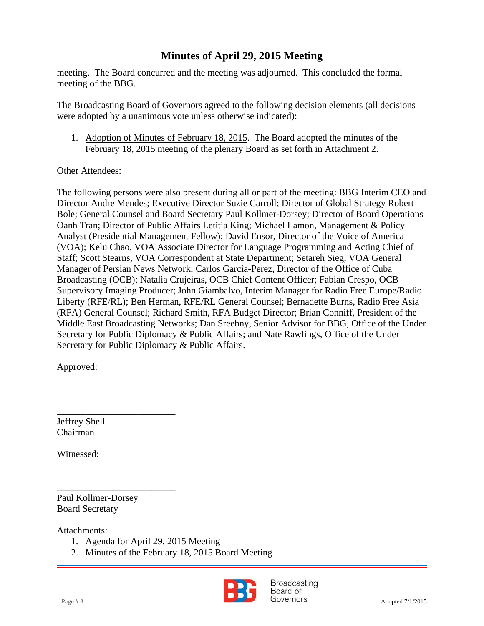meeting. The Board concurred and the meeting was adjourned. This concluded the formal meeting of the BBG.

 were adopted by a unanimous vote unless otherwise indicated): The Broadcasting Board of Governors agreed to the following decision elements (all decisions

1. Adoption of Minutes of February 18, 2015. The Board adopted the minutes of the February 18, 2015 meeting of the plenary Board as set forth in Attachment 2.

### Other Attendees:

The following persons were also present during all or part of the meeting: BBG Interim CEO and Director Andre Mendes; Executive Director Suzie Carroll; Director of Global Strategy Robert Bole; General Counsel and Board Secretary Paul Kollmer-Dorsey; Director of Board Operations Oanh Tran; Director of Public Affairs Letitia King; Michael Lamon, Management & Policy Analyst (Presidential Management Fellow); David Ensor, Director of the Voice of America (VOA); Kelu Chao, VOA Associate Director for Language Programming and Acting Chief of Staff; Scott Stearns, VOA Correspondent at State Department; Setareh Sieg, VOA General Manager of Persian News Network; Carlos Garcia-Perez, Director of the Office of Cuba Broadcasting (OCB); Natalia Crujeiras, OCB Chief Content Officer; Fabian Crespo, OCB Supervisory Imaging Producer; John Giambalvo, Interim Manager for Radio Free Europe/Radio Liberty (RFE/RL); Ben Herman, RFE/RL General Counsel; Bernadette Burns, Radio Free Asia (RFA) General Counsel; Richard Smith, RFA Budget Director; Brian Conniff, President of the Middle East Broadcasting Networks; Dan Sreebny, Senior Advisor for BBG, Office of the Under Secretary for Public Diplomacy & Public Affairs; and Nate Rawlings, Office of the Under Secretary for Public Diplomacy & Public Affairs.

Approved:

Jeffrey Shell Chairman

Witnessed:

\_\_\_\_\_\_\_\_\_\_\_\_\_\_\_\_\_\_\_\_\_\_\_\_\_ Paul Kollmer-Dorsey Board Secretary

\_\_\_\_\_\_\_\_\_\_\_\_\_\_\_\_\_\_\_\_\_\_\_\_\_

Attachments:

- 1. Agenda for April 29, 2015 Meeting
- 2. Minutes of the February 18, 2015 Board Meeting



Broadcasting Board of Page # 3 Adopted 7/1/2015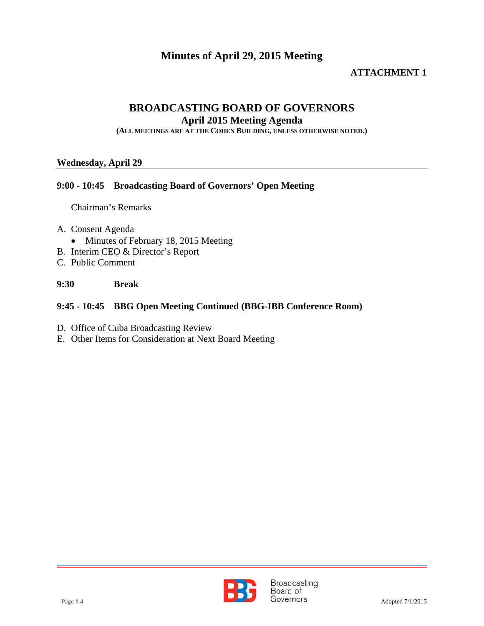### **ATTACHMENT 1**

### **BROADCASTING BOARD OF GOVERNORS**

**April 2015 Meeting Agenda** 

**(ALL MEETINGS ARE AT THE COHEN BUILDING, UNLESS OTHERWISE NOTED.)**

#### **Wednesday, April 29**

#### **9:00 - 10:45 Broadcasting Board of Governors' Open Meeting**

Chairman's Remarks

- A. Consent Agenda
	- Minutes of February 18, 2015 Meeting
- B. Interim CEO & Director's Report
- C. Public Comment

#### **9:30 Break**

### **9:45 - 10:45 BBG Open Meeting Continued (BBG-IBB Conference Room)**

- D. Office of Cuba Broadcasting Review
- E. Other Items for Consideration at Next Board Meeting

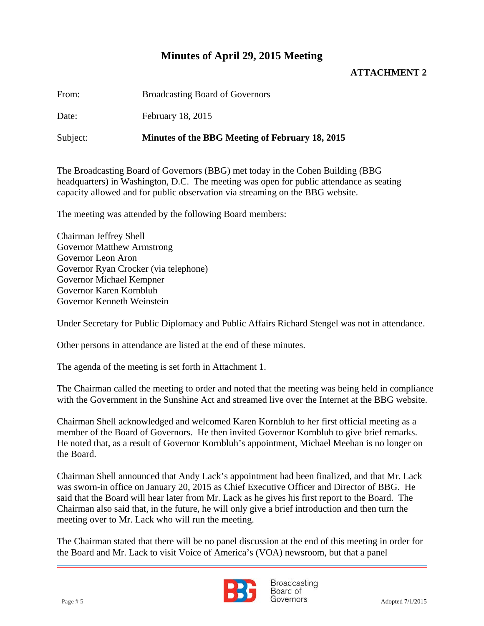### **ATTACHMENT 2**

From: Broadcasting Board of Governors

Date: February 18, 2015

Subject: **Minutes of the BBG Meeting of February 18, 2015**

The Broadcasting Board of Governors (BBG) met today in the Cohen Building (BBG headquarters) in Washington, D.C. The meeting was open for public attendance as seating capacity allowed and for public observation via streaming on the BBG website.

The meeting was attended by the following Board members:

Chairman Jeffrey Shell Governor Matthew Armstrong Governor Leon Aron Governor Ryan Crocker (via telephone) Governor Michael Kempner Governor Karen Kornbluh Governor Kenneth Weinstein

Under Secretary for Public Diplomacy and Public Affairs Richard Stengel was not in attendance.

Other persons in attendance are listed at the end of these minutes.

The agenda of the meeting is set forth in Attachment 1.

The Chairman called the meeting to order and noted that the meeting was being held in compliance with the Government in the Sunshine Act and streamed live over the Internet at the BBG website.

Chairman Shell acknowledged and welcomed Karen Kornbluh to her first official meeting as a member of the Board of Governors. He then invited Governor Kornbluh to give brief remarks. He noted that, as a result of Governor Kornbluh's appointment, Michael Meehan is no longer on the Board.

Chairman Shell announced that Andy Lack's appointment had been finalized, and that Mr. Lack was sworn-in office on January 20, 2015 as Chief Executive Officer and Director of BBG. He said that the Board will hear later from Mr. Lack as he gives his first report to the Board. The Chairman also said that, in the future, he will only give a brief introduction and then turn the meeting over to Mr. Lack who will run the meeting.

The Chairman stated that there will be no panel discussion at the end of this meeting in order for the Board and Mr. Lack to visit Voice of America's (VOA) newsroom, but that a panel



Broadcasting Board of Page # 5 Adopted 7/1/2015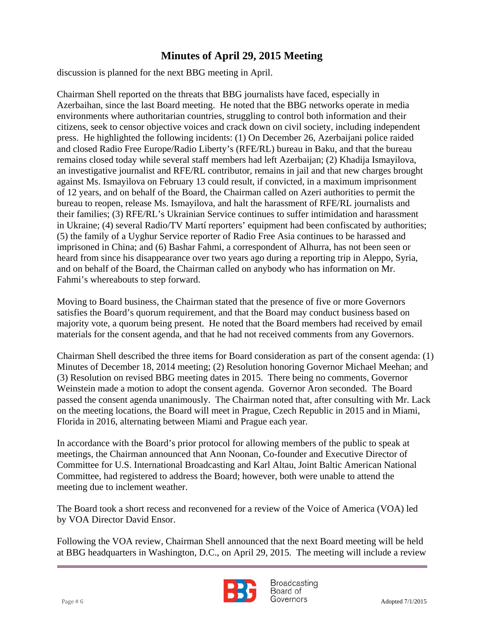discussion is planned for the next BBG meeting in April.

 environments where authoritarian countries, struggling to control both information and their Chairman Shell reported on the threats that BBG journalists have faced, especially in Azerbaihan, since the last Board meeting. He noted that the BBG networks operate in media citizens, seek to censor objective voices and crack down on civil society, including independent press. He highlighted the following incidents: (1) On December 26, Azerbaijani police raided and closed Radio Free Europe/Radio Liberty's (RFE/RL) bureau in Baku, and that the bureau remains closed today while several staff members had left Azerbaijan; (2) Khadija Ismayilova, an investigative journalist and RFE/RL contributor, remains in jail and that new charges brought against Ms. Ismayilova on February 13 could result, if convicted, in a maximum imprisonment of 12 years, and on behalf of the Board, the Chairman called on Azeri authorities to permit the bureau to reopen, release Ms. Ismayilova, and halt the harassment of RFE/RL journalists and their families; (3) RFE/RL's Ukrainian Service continues to suffer intimidation and harassment in Ukraine; (4) several Radio/TV Martí reporters' equipment had been confiscated by authorities; (5) the family of a Uyghur Service reporter of Radio Free Asia continues to be harassed and imprisoned in China; and (6) Bashar Fahmi, a correspondent of Alhurra, has not been seen or heard from since his disappearance over two years ago during a reporting trip in Aleppo, Syria, and on behalf of the Board, the Chairman called on anybody who has information on Mr. Fahmi's whereabouts to step forward.

Moving to Board business, the Chairman stated that the presence of five or more Governors satisfies the Board's quorum requirement, and that the Board may conduct business based on majority vote, a quorum being present. He noted that the Board members had received by email materials for the consent agenda, and that he had not received comments from any Governors.

Chairman Shell described the three items for Board consideration as part of the consent agenda: (1) Minutes of December 18, 2014 meeting; (2) Resolution honoring Governor Michael Meehan; and (3) Resolution on revised BBG meeting dates in 2015. There being no comments, Governor Weinstein made a motion to adopt the consent agenda. Governor Aron seconded. The Board passed the consent agenda unanimously. The Chairman noted that, after consulting with Mr. Lack on the meeting locations, the Board will meet in Prague, Czech Republic in 2015 and in Miami, Florida in 2016, alternating between Miami and Prague each year.

In accordance with the Board's prior protocol for allowing members of the public to speak at meetings, the Chairman announced that Ann Noonan, Co-founder and Executive Director of Committee for U.S. International Broadcasting and Karl Altau, Joint Baltic American National Committee, had registered to address the Board; however, both were unable to attend the meeting due to inclement weather.

The Board took a short recess and reconvened for a review of the Voice of America (VOA) led by VOA Director David Ensor.

Following the VOA review, Chairman Shell announced that the next Board meeting will be held at BBG headquarters in Washington, D.C., on April 29, 2015. The meeting will include a review



**Broadcasting** Board of Page # 6 Adopted 7/1/2015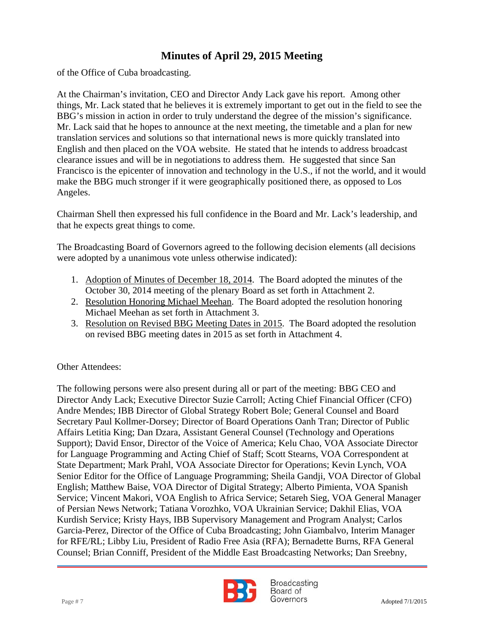of the Office of Cuba broadcasting.

 BBG's mission in action in order to truly understand the degree of the mission's significance. At the Chairman's invitation, CEO and Director Andy Lack gave his report. Among other things, Mr. Lack stated that he believes it is extremely important to get out in the field to see the Mr. Lack said that he hopes to announce at the next meeting, the timetable and a plan for new translation services and solutions so that international news is more quickly translated into English and then placed on the VOA website. He stated that he intends to address broadcast clearance issues and will be in negotiations to address them. He suggested that since San Francisco is the epicenter of innovation and technology in the U.S., if not the world, and it would make the BBG much stronger if it were geographically positioned there, as opposed to Los Angeles.

Chairman Shell then expressed his full confidence in the Board and Mr. Lack's leadership, and that he expects great things to come.

The Broadcasting Board of Governors agreed to the following decision elements (all decisions were adopted by a unanimous vote unless otherwise indicated):

- 1. Adoption of Minutes of December 18, 2014. The Board adopted the minutes of the October 30, 2014 meeting of the plenary Board as set forth in Attachment 2.
- 2. Resolution Honoring Michael Meehan. The Board adopted the resolution honoring Michael Meehan as set forth in Attachment 3.
- 3. Resolution on Revised BBG Meeting Dates in 2015. The Board adopted the resolution on revised BBG meeting dates in 2015 as set forth in Attachment 4.

Other Attendees:

The following persons were also present during all or part of the meeting: BBG CEO and Director Andy Lack; Executive Director Suzie Carroll; Acting Chief Financial Officer (CFO) Andre Mendes; IBB Director of Global Strategy Robert Bole; General Counsel and Board Secretary Paul Kollmer-Dorsey; Director of Board Operations Oanh Tran; Director of Public Affairs Letitia King; Dan Dzara, Assistant General Counsel (Technology and Operations Support); David Ensor, Director of the Voice of America; Kelu Chao, VOA Associate Director for Language Programming and Acting Chief of Staff; Scott Stearns, VOA Correspondent at State Department; Mark Prahl, VOA Associate Director for Operations; Kevin Lynch, VOA Senior Editor for the Office of Language Programming; Sheila Gandji, VOA Director of Global English; Matthew Baise, VOA Director of Digital Strategy; Alberto Pimienta, VOA Spanish Service; Vincent Makori, VOA English to Africa Service; Setareh Sieg, VOA General Manager of Persian News Network; Tatiana Vorozhko, VOA Ukrainian Service; Dakhil Elias, VOA Kurdish Service; Kristy Hays, IBB Supervisory Management and Program Analyst; Carlos Garcia-Perez, Director of the Office of Cuba Broadcasting; John Giambalvo, Interim Manager for RFE/RL; Libby Liu, President of Radio Free Asia (RFA); Bernadette Burns, RFA General Counsel; Brian Conniff, President of the Middle East Broadcasting Networks; Dan Sreebny,



**Broadcasting** Board of Page # 7 Adopted 7/1/2015